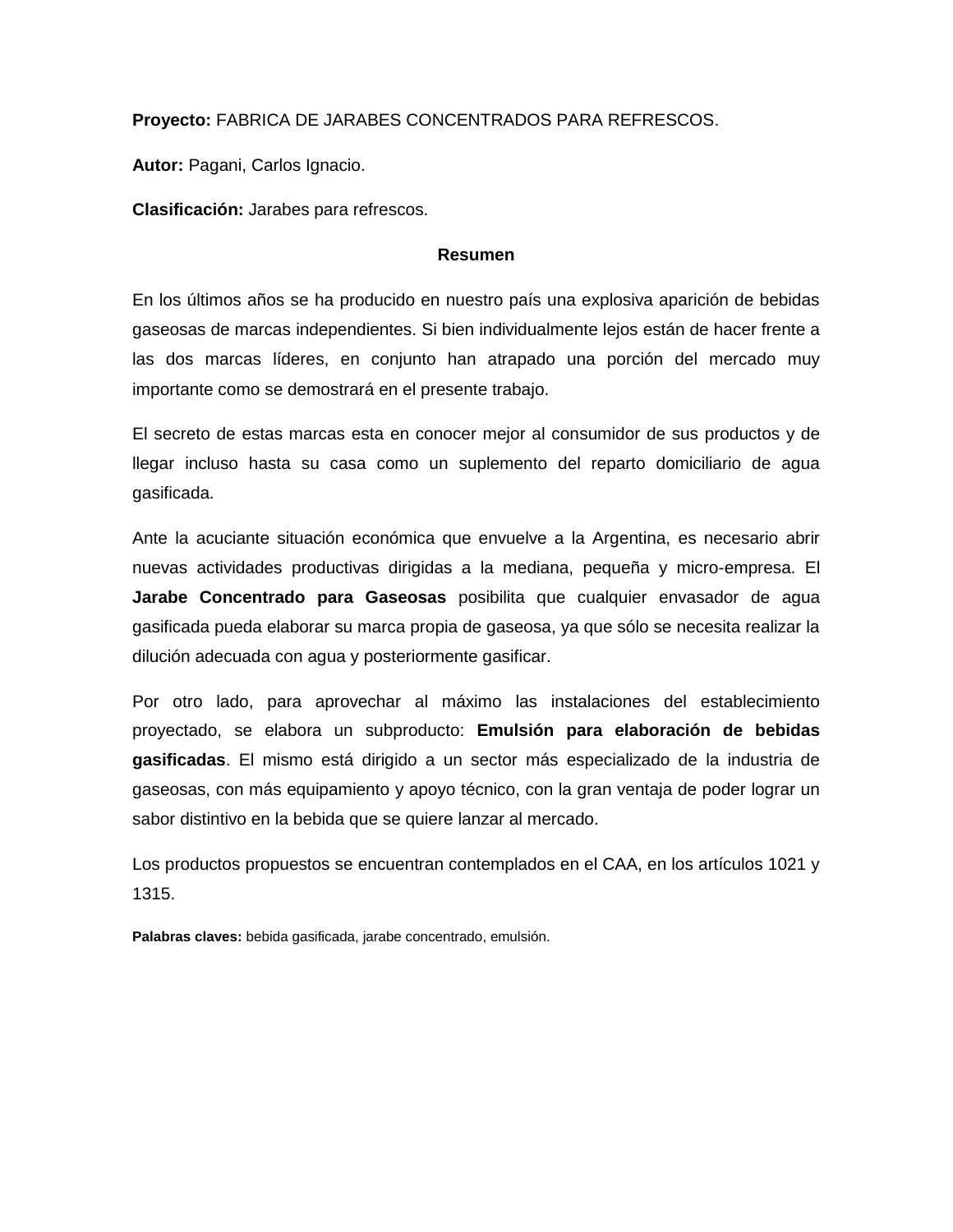**Proyecto:** FABRICA DE JARABES CONCENTRADOS PARA REFRESCOS.

**Autor:** Pagani, Carlos Ignacio.

**Clasificación:** Jarabes para refrescos.

#### **Resumen**

En los últimos años se ha producido en nuestro país una explosiva aparición de bebidas gaseosas de marcas independientes. Si bien individualmente lejos están de hacer frente a las dos marcas líderes, en conjunto han atrapado una porción del mercado muy importante como se demostrará en el presente trabajo.

El secreto de estas marcas esta en conocer mejor al consumidor de sus productos y de llegar incluso hasta su casa como un suplemento del reparto domiciliario de agua gasificada.

Ante la acuciante situación económica que envuelve a la Argentina, es necesario abrir nuevas actividades productivas dirigidas a la mediana, pequeña y micro-empresa. El **Jarabe Concentrado para Gaseosas** posibilita que cualquier envasador de agua gasificada pueda elaborar su marca propia de gaseosa, ya que sólo se necesita realizar la dilución adecuada con agua y posteriormente gasificar.

Por otro lado, para aprovechar al máximo las instalaciones del establecimiento proyectado, se elabora un subproducto: **Emulsión para elaboración de bebidas gasificadas**. El mismo está dirigido a un sector más especializado de la industria de gaseosas, con más equipamiento y apoyo técnico, con la gran ventaja de poder lograr un sabor distintivo en la bebida que se quiere lanzar al mercado.

Los productos propuestos se encuentran contemplados en el CAA, en los artículos 1021 y 1315.

**Palabras claves:** bebida gasificada, jarabe concentrado, emulsión.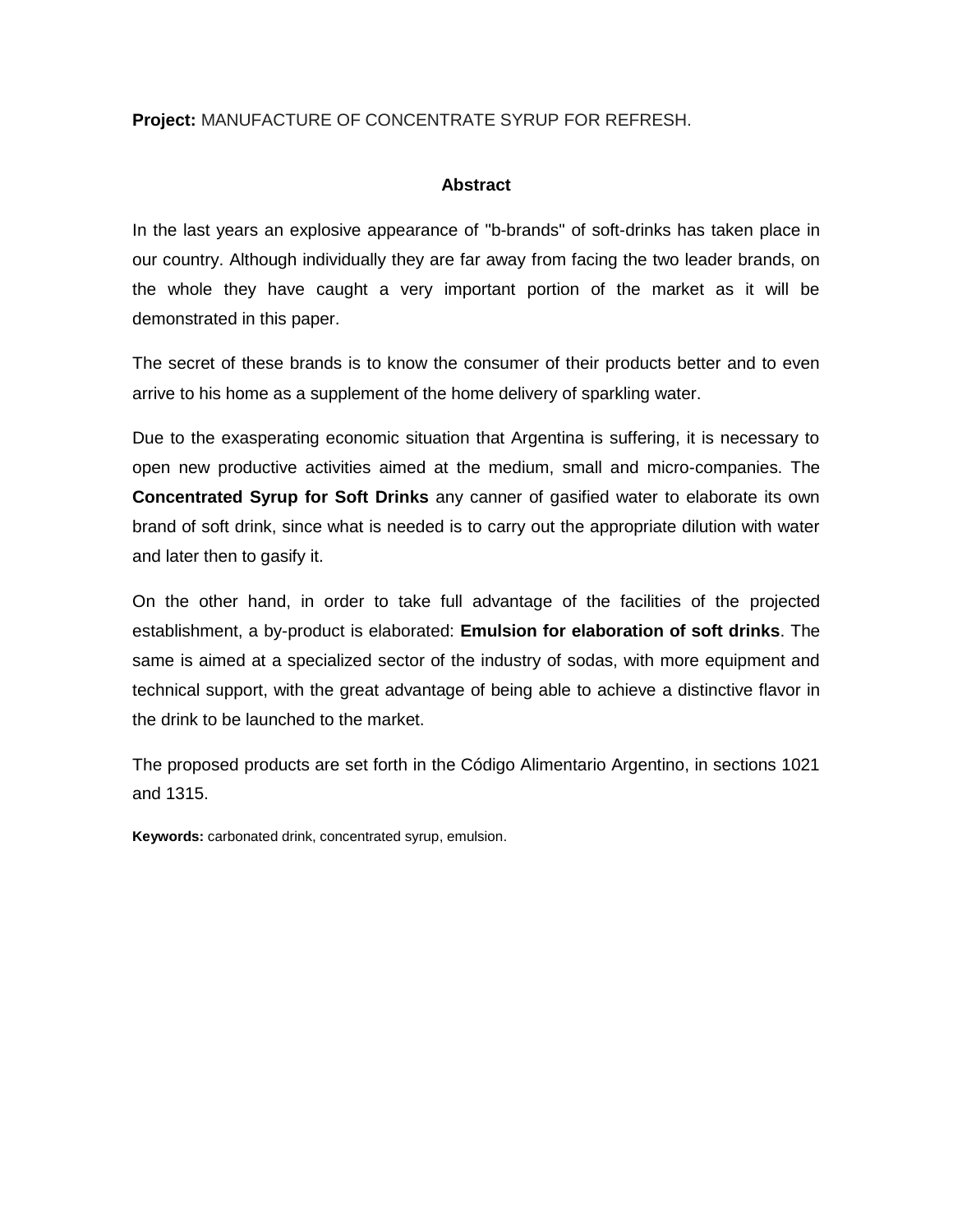## **Project:** MANUFACTURE OF CONCENTRATE SYRUP FOR REFRESH.

### **Abstract**

In the last years an explosive appearance of "b-brands" of soft-drinks has taken place in our country. Although individually they are far away from facing the two leader brands, on the whole they have caught a very important portion of the market as it will be demonstrated in this paper.

The secret of these brands is to know the consumer of their products better and to even arrive to his home as a supplement of the home delivery of sparkling water.

Due to the exasperating economic situation that Argentina is suffering, it is necessary to open new productive activities aimed at the medium, small and micro-companies. The **Concentrated Syrup for Soft Drinks** any canner of gasified water to elaborate its own brand of soft drink, since what is needed is to carry out the appropriate dilution with water and later then to gasify it.

On the other hand, in order to take full advantage of the facilities of the projected establishment, a by-product is elaborated: **Emulsion for elaboration of soft drinks**. The same is aimed at a specialized sector of the industry of sodas, with more equipment and technical support, with the great advantage of being able to achieve a distinctive flavor in the drink to be launched to the market.

The proposed products are set forth in the Código Alimentario Argentino, in sections 1021 and 1315.

**Keywords:** carbonated drink, concentrated syrup, emulsion.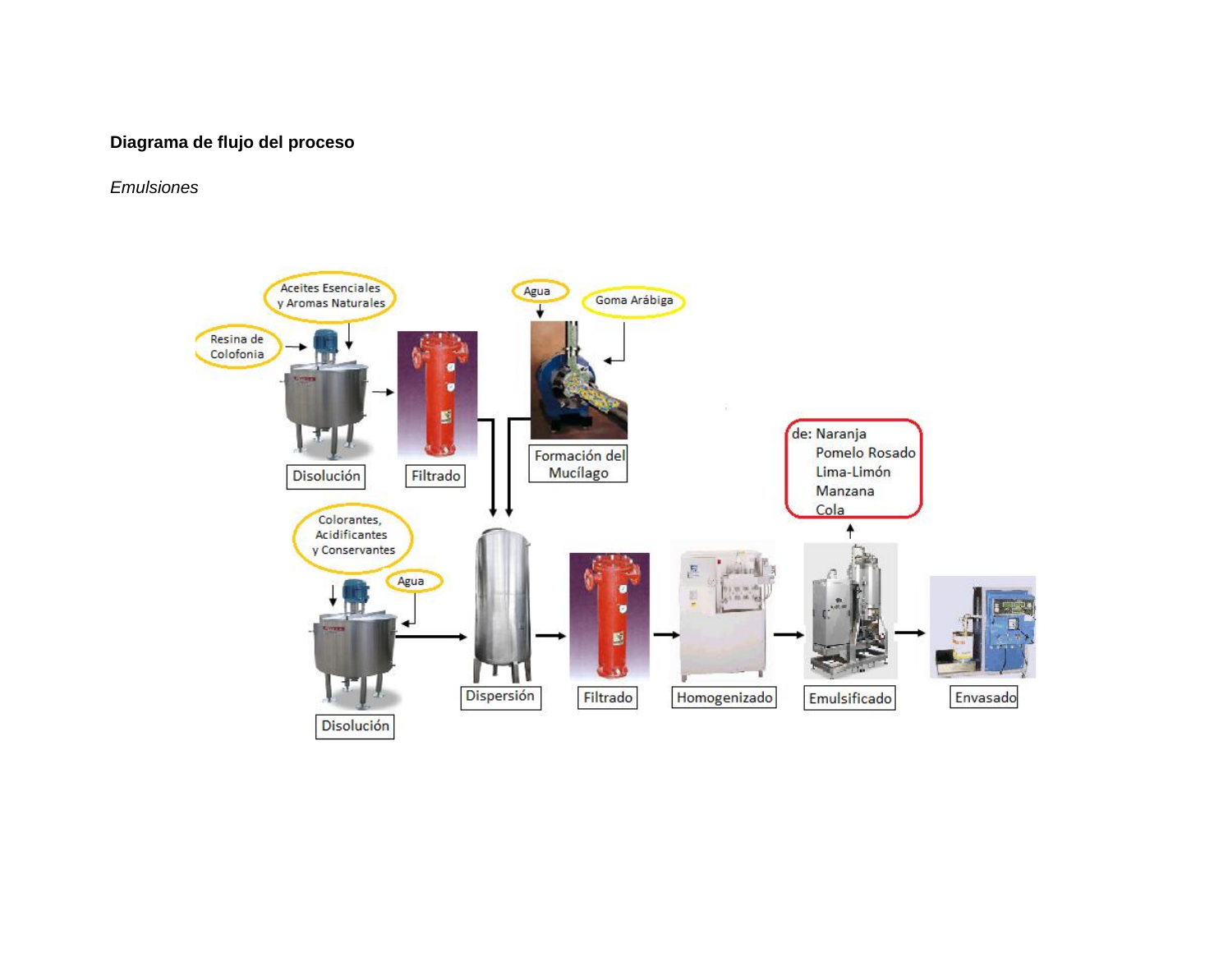# **Diagrama de flujo del proceso**

# *Emulsiones*